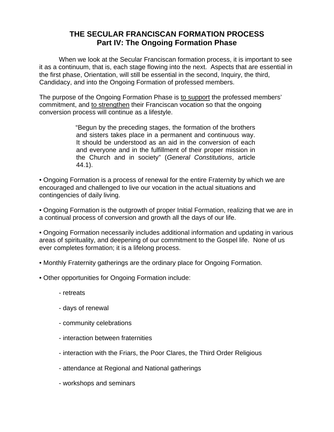## **THE SECULAR FRANCISCAN FORMATION PROCESS Part IV: The Ongoing Formation Phase**

 When we look at the Secular Franciscan formation process, it is important to see it as a continuum, that is, each stage flowing into the next. Aspects that are essential in the first phase, Orientation, will still be essential in the second, Inquiry, the third, Candidacy, and into the Ongoing Formation of professed members.

The purpose of the Ongoing Formation Phase is to support the professed members' commitment, and to strengthen their Franciscan vocation so that the ongoing conversion process will continue as a lifestyle.

> "Begun by the preceding stages, the formation of the brothers and sisters takes place in a permanent and continuous way. It should be understood as an aid in the conversion of each and everyone and in the fulfillment of their proper mission in the Church and in society" (General Constitutions, article 44.1).

• Ongoing Formation is a process of renewal for the entire Fraternity by which we are encouraged and challenged to live our vocation in the actual situations and contingencies of daily living.

• Ongoing Formation is the outgrowth of proper Initial Formation, realizing that we are in a continual process of conversion and growth all the days of our life.

• Ongoing Formation necessarily includes additional information and updating in various areas of spirituality, and deepening of our commitment to the Gospel life. None of us ever completes formation; it is a lifelong process.

• Monthly Fraternity gatherings are the ordinary place for Ongoing Formation.

- Other opportunities for Ongoing Formation include:
	- retreats
	- days of renewal
	- community celebrations
	- interaction between fraternities
	- interaction with the Friars, the Poor Clares, the Third Order Religious
	- attendance at Regional and National gatherings
	- workshops and seminars